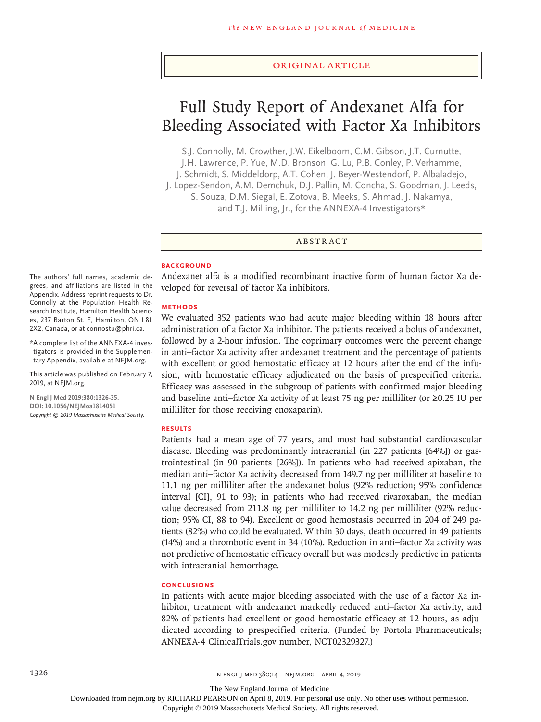#### Original Article

# Full Study Report of Andexanet Alfa for Bleeding Associated with Factor Xa Inhibitors

S.J. Connolly, M. Crowther, J.W. Eikelboom, C.M. Gibson, J.T. Curnutte, J.H. Lawrence, P. Yue, M.D. Bronson, G. Lu, P.B. Conley, P. Verhamme, J. Schmidt, S. Middeldorp, A.T. Cohen, J. Beyer-Westendorf, P. Albaladejo, J. Lopez-Sendon, A.M. Demchuk, D.J. Pallin, M. Concha, S. Goodman, J. Leeds, S. Souza, D.M. Siegal, E. Zotova, B. Meeks, S. Ahmad, J. Nakamya, and T.J. Milling, Jr., for the ANNEXA-4 Investigators\*

ABSTRACT

#### **BACKGROUND**

Andexanet alfa is a modified recombinant inactive form of human factor Xa developed for reversal of factor Xa inhibitors.

#### **METHODS**

We evaluated 352 patients who had acute major bleeding within 18 hours after administration of a factor Xa inhibitor. The patients received a bolus of andexanet, followed by a 2-hour infusion. The coprimary outcomes were the percent change in anti–factor Xa activity after andexanet treatment and the percentage of patients with excellent or good hemostatic efficacy at 12 hours after the end of the infusion, with hemostatic efficacy adjudicated on the basis of prespecified criteria. Efficacy was assessed in the subgroup of patients with confirmed major bleeding and baseline anti–factor Xa activity of at least 75 ng per milliliter (or ≥0.25 IU per milliliter for those receiving enoxaparin).

#### **RESULTS**

Patients had a mean age of 77 years, and most had substantial cardiovascular disease. Bleeding was predominantly intracranial (in 227 patients [64%]) or gastrointestinal (in 90 patients [26%]). In patients who had received apixaban, the median anti–factor Xa activity decreased from 149.7 ng per milliliter at baseline to 11.1 ng per milliliter after the andexanet bolus (92% reduction; 95% confidence interval [CI], 91 to 93); in patients who had received rivaroxaban, the median value decreased from 211.8 ng per milliliter to 14.2 ng per milliliter (92% reduction; 95% CI, 88 to 94). Excellent or good hemostasis occurred in 204 of 249 patients (82%) who could be evaluated. Within 30 days, death occurred in 49 patients (14%) and a thrombotic event in 34 (10%). Reduction in anti–factor Xa activity was not predictive of hemostatic efficacy overall but was modestly predictive in patients with intracranial hemorrhage.

## **CONCLUSIONS**

In patients with acute major bleeding associated with the use of a factor Xa inhibitor, treatment with andexanet markedly reduced anti–factor Xa activity, and 82% of patients had excellent or good hemostatic efficacy at 12 hours, as adjudicated according to prespecified criteria. (Funded by Portola Pharmaceuticals; ANNEXA-4 ClinicalTrials.gov number, NCT02329327.)

The authors' full names, academic degrees, and affiliations are listed in the Appendix. Address reprint requests to Dr. Connolly at the Population Health Research Institute, Hamilton Health Sciences, 237 Barton St. E, Hamilton, ON L8L 2X2, Canada, or at connostu@phri.ca.

\*A complete list of the ANNEXA-4 investigators is provided in the Supplementary Appendix, available at NEJM.org.

This article was published on February 7, 2019, at NEJM.org.

**N Engl J Med 2019;380:1326-35. DOI: 10.1056/NEJMoa1814051** *Copyright © 2019 Massachusetts Medical Society.*

The New England Journal of Medicine

Downloaded from nejm.org by RICHARD PEARSON on April 8, 2019. For personal use only. No other uses without permission.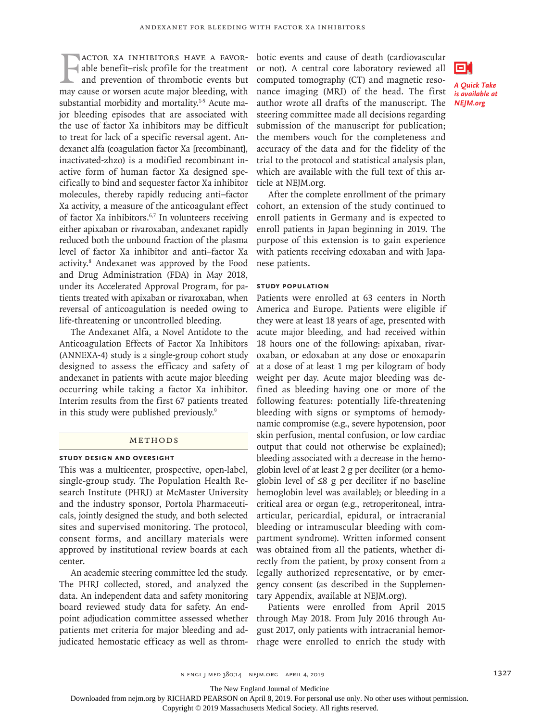**FACTOR XA INHIBITORS HAVE A FAVOR-**<br>able benefit-risk profile for the treatment<br>and prevention of thrombotic events but<br>may cause or worsen acute major bleeding, with actor Xa inhibitors have a favorable benefit–risk profile for the treatment and prevention of thrombotic events but substantial morbidity and mortality.<sup>1-5</sup> Acute major bleeding episodes that are associated with the use of factor Xa inhibitors may be difficult to treat for lack of a specific reversal agent. Andexanet alfa (coagulation factor Xa [recombinant], inactivated-zhzo) is a modified recombinant inactive form of human factor Xa designed specifically to bind and sequester factor Xa inhibitor molecules, thereby rapidly reducing anti–factor Xa activity, a measure of the anticoagulant effect of factor Xa inhibitors.6,7 In volunteers receiving either apixaban or rivaroxaban, andexanet rapidly reduced both the unbound fraction of the plasma level of factor Xa inhibitor and anti–factor Xa activity.8 Andexanet was approved by the Food and Drug Administration (FDA) in May 2018, under its Accelerated Approval Program, for patients treated with apixaban or rivaroxaban, when reversal of anticoagulation is needed owing to life-threatening or uncontrolled bleeding.

The Andexanet Alfa, a Novel Antidote to the Anticoagulation Effects of Factor Xa Inhibitors (ANNEXA-4) study is a single-group cohort study designed to assess the efficacy and safety of andexanet in patients with acute major bleeding occurring while taking a factor Xa inhibitor. Interim results from the first 67 patients treated in this study were published previously.<sup>9</sup>

## Methods

## **Study Design and Oversight**

This was a multicenter, prospective, open-label, single-group study. The Population Health Research Institute (PHRI) at McMaster University and the industry sponsor, Portola Pharmaceuticals, jointly designed the study, and both selected sites and supervised monitoring. The protocol, consent forms, and ancillary materials were approved by institutional review boards at each center.

An academic steering committee led the study. The PHRI collected, stored, and analyzed the data. An independent data and safety monitoring board reviewed study data for safety. An endpoint adjudication committee assessed whether patients met criteria for major bleeding and adjudicated hemostatic efficacy as well as throm-

botic events and cause of death (cardiovascular or not). A central core laboratory reviewed all computed tomography (CT) and magnetic resonance imaging (MRI) of the head. The first author wrote all drafts of the manuscript. The steering committee made all decisions regarding submission of the manuscript for publication; the members vouch for the completeness and accuracy of the data and for the fidelity of the trial to the protocol and statistical analysis plan, which are available with the full text of this article at NEJM.org.

*A Quick Take is available at NEJM.org*

ы

After the complete enrollment of the primary cohort, an extension of the study continued to enroll patients in Germany and is expected to enroll patients in Japan beginning in 2019. The purpose of this extension is to gain experience

with patients receiving edoxaban and with Japa-

#### **Study Population**

nese patients.

Patients were enrolled at 63 centers in North America and Europe. Patients were eligible if they were at least 18 years of age, presented with acute major bleeding, and had received within 18 hours one of the following: apixaban, rivaroxaban, or edoxaban at any dose or enoxaparin at a dose of at least 1 mg per kilogram of body weight per day. Acute major bleeding was defined as bleeding having one or more of the following features: potentially life-threatening bleeding with signs or symptoms of hemodynamic compromise (e.g., severe hypotension, poor skin perfusion, mental confusion, or low cardiac output that could not otherwise be explained); bleeding associated with a decrease in the hemoglobin level of at least 2 g per deciliter (or a hemoglobin level of ≤8 g per deciliter if no baseline hemoglobin level was available); or bleeding in a critical area or organ (e.g., retroperitoneal, intraarticular, pericardial, epidural, or intracranial bleeding or intramuscular bleeding with compartment syndrome). Written informed consent was obtained from all the patients, whether directly from the patient, by proxy consent from a legally authorized representative, or by emergency consent (as described in the Supplementary Appendix, available at NEJM.org).

Patients were enrolled from April 2015 through May 2018. From July 2016 through August 2017, only patients with intracranial hemorrhage were enrolled to enrich the study with



The New England Journal of Medicine

Downloaded from nejm.org by RICHARD PEARSON on April 8, 2019. For personal use only. No other uses without permission.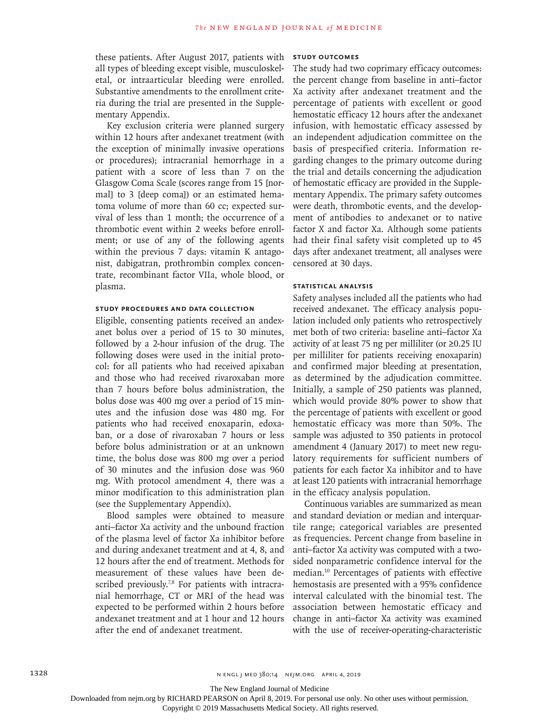these patients. After August 2017, patients with all types of bleeding except visible, musculoskeletal, or intraarticular bleeding were enrolled. Substantive amendments to the enrollment criteria during the trial are presented in the Supplementary Appendix.

Key exclusion criteria were planned surgery within 12 hours after andexanet treatment (with the exception of minimally invasive operations or procedures); intracranial hemorrhage in a patient with a score of less than 7 on the Glasgow Coma Scale (scores range from 15 [normal] to 3 [deep coma]) or an estimated hematoma volume of more than 60 cc; expected survival of less than 1 month; the occurrence of a thrombotic event within 2 weeks before enrollment; or use of any of the following agents within the previous 7 days: vitamin K antagonist, dabigatran, prothrombin complex concentrate, recombinant factor VIIa, whole blood, or plasma.

## **Study Procedures and Data Collection**

Eligible, consenting patients received an andexanet bolus over a period of 15 to 30 minutes, followed by a 2-hour infusion of the drug. The following doses were used in the initial protocol: for all patients who had received apixaban and those who had received rivaroxaban more than 7 hours before bolus administration, the bolus dose was 400 mg over a period of 15 minutes and the infusion dose was 480 mg. For patients who had received enoxaparin, edoxaban, or a dose of rivaroxaban 7 hours or less before bolus administration or at an unknown time, the bolus dose was 800 mg over a period of 30 minutes and the infusion dose was 960 mg. With protocol amendment 4, there was a minor modification to this administration plan (see the Supplementary Appendix).

Blood samples were obtained to measure anti–factor Xa activity and the unbound fraction of the plasma level of factor Xa inhibitor before and during andexanet treatment and at 4, 8, and 12 hours after the end of treatment. Methods for measurement of these values have been described previously.<sup>7,8</sup> For patients with intracranial hemorrhage, CT or MRI of the head was expected to be performed within 2 hours before andexanet treatment and at 1 hour and 12 hours after the end of andexanet treatment.

## **Study Outcomes**

The study had two coprimary efficacy outcomes: the percent change from baseline in anti–factor Xa activity after andexanet treatment and the percentage of patients with excellent or good hemostatic efficacy 12 hours after the andexanet infusion, with hemostatic efficacy assessed by an independent adjudication committee on the basis of prespecified criteria. Information regarding changes to the primary outcome during the trial and details concerning the adjudication of hemostatic efficacy are provided in the Supplementary Appendix. The primary safety outcomes were death, thrombotic events, and the development of antibodies to andexanet or to native factor X and factor Xa. Although some patients had their final safety visit completed up to 45 days after andexanet treatment, all analyses were censored at 30 days.

## **Statistical Analysis**

Safety analyses included all the patients who had received andexanet. The efficacy analysis population included only patients who retrospectively met both of two criteria: baseline anti–factor Xa activity of at least 75 ng per milliliter (or ≥0.25 IU per milliliter for patients receiving enoxaparin) and confirmed major bleeding at presentation, as determined by the adjudication committee. Initially, a sample of 250 patients was planned, which would provide 80% power to show that the percentage of patients with excellent or good hemostatic efficacy was more than 50%. The sample was adjusted to 350 patients in protocol amendment 4 (January 2017) to meet new regulatory requirements for sufficient numbers of patients for each factor Xa inhibitor and to have at least 120 patients with intracranial hemorrhage in the efficacy analysis population.

Continuous variables are summarized as mean and standard deviation or median and interquartile range; categorical variables are presented as frequencies. Percent change from baseline in anti–factor Xa activity was computed with a twosided nonparametric confidence interval for the median.10 Percentages of patients with effective hemostasis are presented with a 95% confidence interval calculated with the binomial test. The association between hemostatic efficacy and change in anti–factor Xa activity was examined with the use of receiver-operating-characteristic

The New England Journal of Medicine

Downloaded from nejm.org by RICHARD PEARSON on April 8, 2019. For personal use only. No other uses without permission.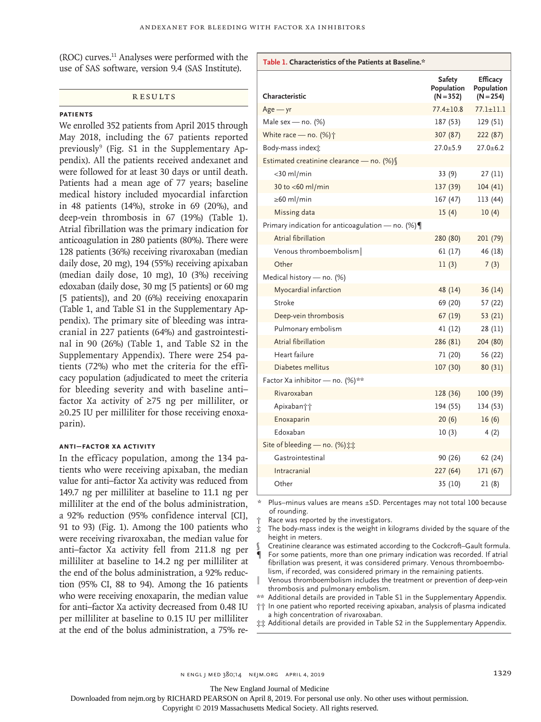(ROC) curves.11 Analyses were performed with the use of SAS software, version 9.4 (SAS Institute).

#### **RESULTS**

#### **Patients**

We enrolled 352 patients from April 2015 through May 2018, including the 67 patients reported previously<sup>9</sup> (Fig. S1 in the Supplementary Appendix). All the patients received andexanet and were followed for at least 30 days or until death. Patients had a mean age of 77 years; baseline medical history included myocardial infarction in 48 patients (14%), stroke in 69 (20%), and deep-vein thrombosis in 67 (19%) (Table 1). Atrial fibrillation was the primary indication for anticoagulation in 280 patients (80%). There were 128 patients (36%) receiving rivaroxaban (median daily dose, 20 mg), 194 (55%) receiving apixaban (median daily dose, 10 mg), 10 (3%) receiving edoxaban (daily dose, 30 mg [5 patients] or 60 mg [5 patients]), and 20 (6%) receiving enoxaparin (Table 1, and Table S1 in the Supplementary Appendix). The primary site of bleeding was intracranial in 227 patients (64%) and gastrointestinal in 90 (26%) (Table 1, and Table S2 in the Supplementary Appendix). There were 254 patients (72%) who met the criteria for the efficacy population (adjudicated to meet the criteria for bleeding severity and with baseline anti– factor Xa activity of ≥75 ng per milliliter, or ≥0.25 IU per milliliter for those receiving enoxaparin).

## **Anti–Factor Xa Activity**

In the efficacy population, among the 134 patients who were receiving apixaban, the median value for anti–factor Xa activity was reduced from 149.7 ng per milliliter at baseline to 11.1 ng per milliliter at the end of the bolus administration, a 92% reduction (95% confidence interval [CI], 91 to 93) (Fig. 1). Among the 100 patients who were receiving rivaroxaban, the median value for anti–factor Xa activity fell from 211.8 ng per milliliter at baseline to 14.2 ng per milliliter at the end of the bolus administration, a 92% reduction (95% CI, 88 to 94). Among the 16 patients who were receiving enoxaparin, the median value for anti–factor Xa activity decreased from 0.48 IU per milliliter at baseline to 0.15 IU per milliliter at the end of the bolus administration, a 75% re-

| Table 1. Characteristics of the Patients at Baseline.* |                                            |                                       |  |  |  |  |  |
|--------------------------------------------------------|--------------------------------------------|---------------------------------------|--|--|--|--|--|
| Characteristic                                         | <b>Safety</b><br>Population<br>$(N = 352)$ | Efficacy<br>Population<br>$(N = 254)$ |  |  |  |  |  |
| $Age - yr$                                             | $77.4 \pm 10.8$                            | $77.1 \pm 11.1$                       |  |  |  |  |  |
| Male sex — no. $(\%)$                                  | 187 (53)                                   | 129 (51)                              |  |  |  |  |  |
| White race - no. (%) $\dagger$                         | 307 (87)                                   | 222 (87)                              |  |  |  |  |  |
| Body-mass index $\pm$                                  | $27.0 + 5.9$                               | $27.0 + 6.2$                          |  |  |  |  |  |
| Estimated creatinine clearance - no. (%) §             |                                            |                                       |  |  |  |  |  |
| $<$ 30 ml/min                                          | 33(9)                                      | 27(11)                                |  |  |  |  |  |
| 30 to $<$ 60 ml/min                                    | 137 (39)                                   | 104(41)                               |  |  |  |  |  |
| $\geq 60$ ml/min                                       | 167 (47)                                   | 113 (44)                              |  |  |  |  |  |
| Missing data                                           | 15(4)                                      | 10(4)                                 |  |  |  |  |  |
| Primary indication for anticoagulation – no. $(\%)\P$  |                                            |                                       |  |  |  |  |  |
| Atrial fibrillation                                    | 280 (80)                                   | 201 (79)                              |  |  |  |  |  |
| Venous thromboembolism                                 | 61(17)                                     | 46 (18)                               |  |  |  |  |  |
| Other                                                  | 11(3)                                      | 7(3)                                  |  |  |  |  |  |
| Medical history - no. (%)                              |                                            |                                       |  |  |  |  |  |
| Myocardial infarction                                  | 48 (14)                                    | 36 (14)                               |  |  |  |  |  |
| Stroke                                                 | 69 (20)                                    | 57 (22)                               |  |  |  |  |  |
| Deep-vein thrombosis                                   | 67 (19)                                    | 53 (21)                               |  |  |  |  |  |
| Pulmonary embolism                                     | 41 (12)                                    | 28 (11)                               |  |  |  |  |  |
| Atrial fibrillation                                    | 286 (81)                                   | 204 (80)                              |  |  |  |  |  |
| Heart failure                                          | 71 (20)                                    | 56 (22)                               |  |  |  |  |  |
| Diabetes mellitus                                      | 107 (30)                                   | 80 (31)                               |  |  |  |  |  |
| Factor Xa inhibitor - no. (%)**                        |                                            |                                       |  |  |  |  |  |
| Rivaroxaban                                            | 128 (36)                                   | 100(39)                               |  |  |  |  |  |
| Apixaban††                                             | 194 (55)                                   | 134 (53)                              |  |  |  |  |  |
| Enoxaparin                                             | 20(6)                                      | 16(6)                                 |  |  |  |  |  |
| Edoxaban                                               | 10(3)                                      | 4(2)                                  |  |  |  |  |  |
| Site of bleeding - no. (%) :::                         |                                            |                                       |  |  |  |  |  |
| Gastrointestinal                                       | 90 (26)                                    | 62 (24)                               |  |  |  |  |  |
| Intracranial                                           | 227 (64)                                   | 171 (67)                              |  |  |  |  |  |
| Other                                                  | 35 (10)                                    | 21 (8)                                |  |  |  |  |  |

Plus–minus values are means ±SD. Percentages may not total 100 because of rounding.

Race was reported by the investigators.

The body-mass index is the weight in kilograms divided by the square of the height in meters.

§ Creatinine clearance was estimated according to the Cockcroft–Gault formula. For some patients, more than one primary indication was recorded. If atrial fibrillation was present, it was considered primary. Venous thromboembolism, if recorded, was considered primary in the remaining patients.

Venous thromboembolism includes the treatment or prevention of deep-vein thrombosis and pulmonary embolism.

\*\* Additional details are provided in Table S1 in the Supplementary Appendix.

†† In one patient who reported receiving apixaban, analysis of plasma indicated a high concentration of rivaroxaban.

‡‡ Additional details are provided in Table S2 in the Supplementary Appendix.

The New England Journal of Medicine

Downloaded from nejm.org by RICHARD PEARSON on April 8, 2019. For personal use only. No other uses without permission.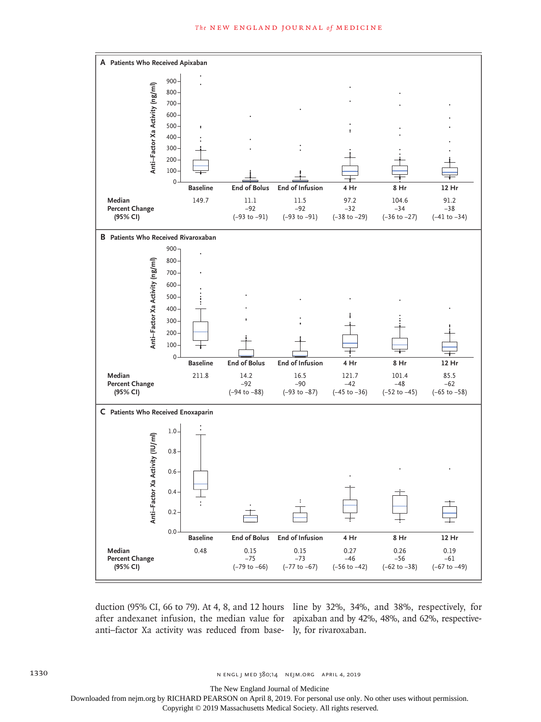

duction (95% CI, 66 to 79). At 4, 8, and 12 hours line by 32%, 34%, and 38%, respectively, for anti–factor Xa activity was reduced from base-ly, for rivaroxaban.

after andexanet infusion, the median value for apixaban and by 42%, 48%, and 62%, respective-

The New England Journal of Medicine

Downloaded from nejm.org by RICHARD PEARSON on April 8, 2019. For personal use only. No other uses without permission.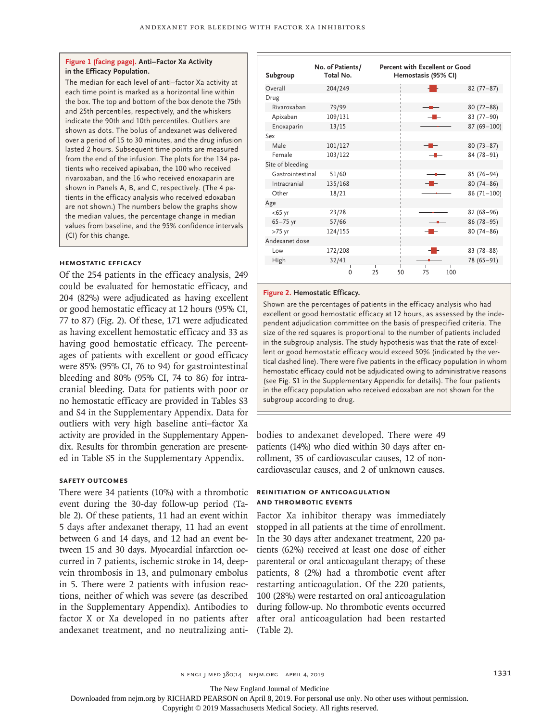#### **Figure 1 (facing page). Anti–Factor Xa Activity in the Efficacy Population.**

The median for each level of anti–factor Xa activity at each time point is marked as a horizontal line within the box. The top and bottom of the box denote the 75th and 25th percentiles, respectively, and the whiskers indicate the 90th and 10th percentiles. Outliers are shown as dots. The bolus of andexanet was delivered over a period of 15 to 30 minutes, and the drug infusion lasted 2 hours. Subsequent time points are measured from the end of the infusion. The plots for the 134 patients who received apixaban, the 100 who received rivaroxaban, and the 16 who received enoxaparin are shown in Panels A, B, and C, respectively. (The 4 patients in the efficacy analysis who received edoxaban are not shown.) The numbers below the graphs show the median values, the percentage change in median values from baseline, and the 95% confidence intervals (CI) for this change.

#### **Hemostatic Efficacy**

Of the 254 patients in the efficacy analysis, 249 could be evaluated for hemostatic efficacy, and 204 (82%) were adjudicated as having excellent or good hemostatic efficacy at 12 hours (95% CI, 77 to 87) (Fig. 2). Of these, 171 were adjudicated as having excellent hemostatic efficacy and 33 as having good hemostatic efficacy. The percentages of patients with excellent or good efficacy were 85% (95% CI, 76 to 94) for gastrointestinal bleeding and 80% (95% CI, 74 to 86) for intracranial bleeding. Data for patients with poor or no hemostatic efficacy are provided in Tables S3 and S4 in the Supplementary Appendix. Data for outliers with very high baseline anti–factor Xa activity are provided in the Supplementary Appendix. Results for thrombin generation are presented in Table S5 in the Supplementary Appendix.

## **Safety Outcomes**

There were 34 patients (10%) with a thrombotic event during the 30-day follow-up period (Table 2). Of these patients, 11 had an event within 5 days after andexanet therapy, 11 had an event between 6 and 14 days, and 12 had an event between 15 and 30 days. Myocardial infarction occurred in 7 patients, ischemic stroke in 14, deepvein thrombosis in 13, and pulmonary embolus in 5. There were 2 patients with infusion reactions, neither of which was severe (as described in the Supplementary Appendix). Antibodies to factor X or Xa developed in no patients after andexanet treatment, and no neutralizing anti-

| Subgroup         | No. of Patients/<br>Total No. |          | Percent with Excellent or Good<br>Hemostasis (95% CI) |                |
|------------------|-------------------------------|----------|-------------------------------------------------------|----------------|
| Overall          | 204/249                       |          |                                                       | $82(77-87)$    |
| Drug             |                               |          |                                                       |                |
| Rivaroxaban      | 79/99                         |          |                                                       | $80(72 - 88)$  |
| Apixaban         | 109/131                       |          |                                                       | $83(77-90)$    |
| Enoxaparin       | 13/15                         |          |                                                       | $87(69 - 100)$ |
| Sex              |                               |          |                                                       |                |
| Male             | 101/127                       |          |                                                       | $80(73 - 87)$  |
| Female           | 103/122                       |          |                                                       | 84 (78-91)     |
| Site of bleeding |                               |          |                                                       |                |
| Gastrointestinal | 51/60                         |          |                                                       | $85(76-94)$    |
| Intracranial     | 135/168                       |          |                                                       | $80(74 - 86)$  |
| Other            | 18/21                         |          |                                                       | $86(71-100)$   |
| Age              |                               |          |                                                       |                |
| $<$ 65 yr        | 23/28                         |          |                                                       | $82(68 - 96)$  |
| $65 - 75$ yr     | 57/66                         |          |                                                       | $86(78-95)$    |
| $>75$ yr         | 124/155                       |          |                                                       | $80(74 - 86)$  |
| Andexanet dose   |                               |          |                                                       |                |
| Low              | 172/208                       |          | - -                                                   | $83(78 - 88)$  |
| High             | 32/41                         |          |                                                       | 78 (65-91)     |
|                  | $\Omega$                      | 25<br>50 | 75<br>100                                             |                |

#### **Figure 2. Hemostatic Efficacy.**

Shown are the percentages of patients in the efficacy analysis who had excellent or good hemostatic efficacy at 12 hours, as assessed by the independent adjudication committee on the basis of prespecified criteria. The size of the red squares is proportional to the number of patients included in the subgroup analysis. The study hypothesis was that the rate of excellent or good hemostatic efficacy would exceed 50% (indicated by the vertical dashed line). There were five patients in the efficacy population in whom hemostatic efficacy could not be adjudicated owing to administrative reasons (see Fig. S1 in the Supplementary Appendix for details). The four patients in the efficacy population who received edoxaban are not shown for the subgroup according to drug.

bodies to andexanet developed. There were 49 patients (14%) who died within 30 days after enrollment, 35 of cardiovascular causes, 12 of noncardiovascular causes, and 2 of unknown causes.

## **Reinitiation of Anticoagulation and Thrombotic Events**

Factor Xa inhibitor therapy was immediately stopped in all patients at the time of enrollment. In the 30 days after andexanet treatment, 220 patients (62%) received at least one dose of either parenteral or oral anticoagulant therapy; of these patients, 8 (2%) had a thrombotic event after restarting anticoagulation. Of the 220 patients, 100 (28%) were restarted on oral anticoagulation during follow-up. No thrombotic events occurred after oral anticoagulation had been restarted (Table 2).

n engl j med 380;14 nejm.org April 4, 2019 1331

The New England Journal of Medicine

Downloaded from nejm.org by RICHARD PEARSON on April 8, 2019. For personal use only. No other uses without permission.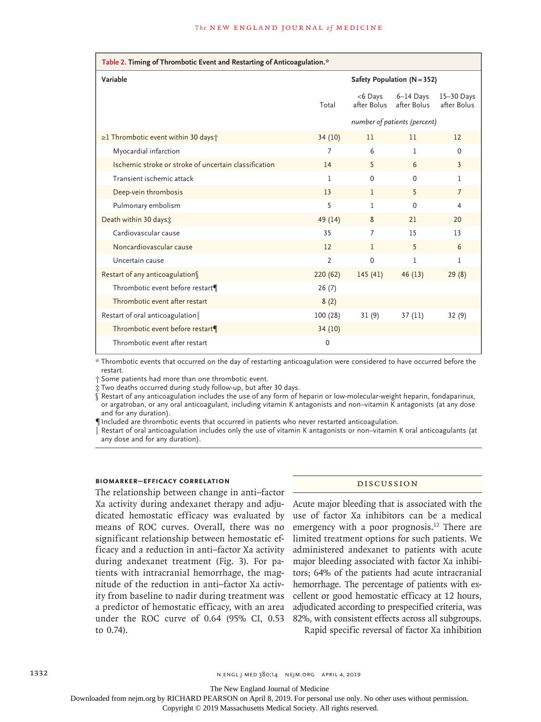| Table 2. Timing of Thrombotic Event and Restarting of Anticoagulation.* |                |                               |                            |                           |  |  |  |
|-------------------------------------------------------------------------|----------------|-------------------------------|----------------------------|---------------------------|--|--|--|
| Variable                                                                |                | Safety Population $(N = 352)$ |                            |                           |  |  |  |
|                                                                         | Total          | $<$ 6 Days<br>after Bolus     | $6-14$ Days<br>after Bolus | 15-30 Days<br>after Bolus |  |  |  |
|                                                                         |                | number of patients (percent)  |                            |                           |  |  |  |
| $\geq$ 1 Thrombotic event within 30 days $\uparrow$                     | 34(10)         | 11                            | 11                         | 12                        |  |  |  |
| Myocardial infarction                                                   | 7              | 6                             | 1                          | $\mathbf 0$               |  |  |  |
| Ischemic stroke or stroke of uncertain classification                   | 14             | 5                             | 6                          | $\overline{3}$            |  |  |  |
| Transient ischemic attack                                               | I.             | $\Omega$                      | 0                          | L                         |  |  |  |
| Deep-vein thrombosis                                                    | 13             | 1                             | 5                          | $\overline{7}$            |  |  |  |
| Pulmonary embolism                                                      | 5              | 1                             | 0                          | 4                         |  |  |  |
| Death within 30 days :                                                  | 49 (14)        | 8                             | 21                         | 20                        |  |  |  |
| Cardiovascular cause                                                    | 35             | 7                             | 15                         | 13                        |  |  |  |
| Noncardiovascular cause                                                 | 12             | $\mathbf{1}$                  | 5                          | 6                         |  |  |  |
| Uncertain cause                                                         | $\overline{2}$ | 0                             | 1                          | 1                         |  |  |  |
| Restart of any anticoagulation                                          | 220(62)        | 145(41)                       | 46(13)                     | 29(8)                     |  |  |  |
| Thrombotic event before restart¶                                        | 26(7)          |                               |                            |                           |  |  |  |
| Thrombotic event after restart                                          | 8(2)           |                               |                            |                           |  |  |  |
| Restart of oral anticoagulation                                         | 100(28)        | 31(9)                         | 37(11)                     | 32(9)                     |  |  |  |
| Thrombotic event before restart¶                                        | 34 (10)        |                               |                            |                           |  |  |  |
| Thrombotic event after restart                                          | $\mathbf 0$    |                               |                            |                           |  |  |  |

\* Thrombotic events that occurred on the day of restarting anticoagulation were considered to have occurred before the restart.

† Some patients had more than one thrombotic event.

‡ Two deaths occurred during study follow-up, but after 30 days.

§ Restart of any anticoagulation includes the use of any form of heparin or low-molecular-weight heparin, fondaparinux, or argatroban, or any oral anticoagulant, including vitamin K antagonists and non–vitamin K antagonists (at any dose and for any duration).

¶ Included are thrombotic events that occurred in patients who never restarted anticoagulation.

Restart of oral anticoagulation includes only the use of vitamin K antagonists or non–vitamin K oral anticoagulants (at any dose and for any duration).

## **Biomarker–Efficacy Correlation**

The relationship between change in anti–factor Xa activity during andexanet therapy and adjudicated hemostatic efficacy was evaluated by means of ROC curves. Overall, there was no significant relationship between hemostatic efficacy and a reduction in anti–factor Xa activity during andexanet treatment (Fig. 3). For patients with intracranial hemorrhage, the magnitude of the reduction in anti–factor Xa activity from baseline to nadir during treatment was a predictor of hemostatic efficacy, with an area under the ROC curve of 0.64 (95% CI, 0.53 to 0.74).

## Discussion

Acute major bleeding that is associated with the use of factor Xa inhibitors can be a medical emergency with a poor prognosis.<sup>12</sup> There are limited treatment options for such patients. We administered andexanet to patients with acute major bleeding associated with factor Xa inhibitors; 64% of the patients had acute intracranial hemorrhage. The percentage of patients with excellent or good hemostatic efficacy at 12 hours, adjudicated according to prespecified criteria, was 82%, with consistent effects across all subgroups.

Rapid specific reversal of factor Xa inhibition

The New England Journal of Medicine

Downloaded from nejm.org by RICHARD PEARSON on April 8, 2019. For personal use only. No other uses without permission.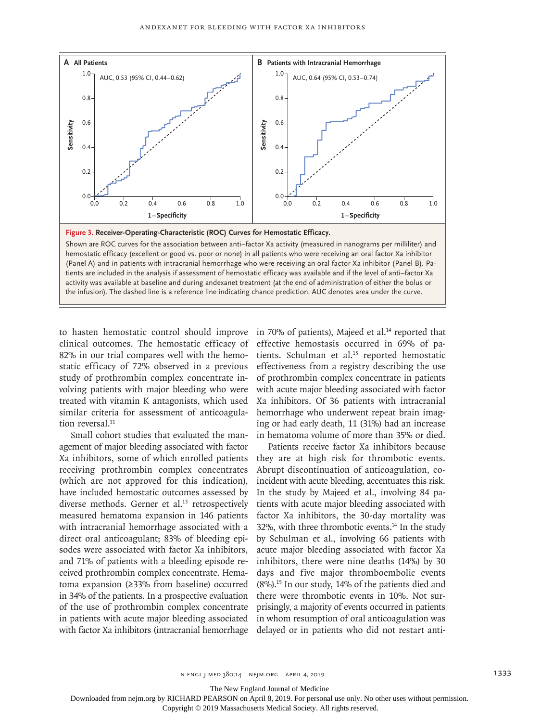

Shown are ROC curves for the association between anti–factor Xa activity (measured in nanograms per milliliter) and hemostatic efficacy (excellent or good vs. poor or none) in all patients who were receiving an oral factor Xa inhibitor (Panel A) and in patients with intracranial hemorrhage who were receiving an oral factor Xa inhibitor (Panel B). Patients are included in the analysis if assessment of hemostatic efficacy was available and if the level of anti–factor Xa activity was available at baseline and during andexanet treatment (at the end of administration of either the bolus or

to hasten hemostatic control should improve clinical outcomes. The hemostatic efficacy of 82% in our trial compares well with the hemostatic efficacy of 72% observed in a previous study of prothrombin complex concentrate involving patients with major bleeding who were treated with vitamin K antagonists, which used similar criteria for assessment of anticoagulation reversal.<sup>11</sup>

Small cohort studies that evaluated the management of major bleeding associated with factor Xa inhibitors, some of which enrolled patients receiving prothrombin complex concentrates (which are not approved for this indication), have included hemostatic outcomes assessed by diverse methods. Gerner et al.<sup>13</sup> retrospectively measured hematoma expansion in 146 patients with intracranial hemorrhage associated with a direct oral anticoagulant; 83% of bleeding episodes were associated with factor Xa inhibitors, and 71% of patients with a bleeding episode received prothrombin complex concentrate. Hematoma expansion (≥33% from baseline) occurred in 34% of the patients. In a prospective evaluation of the use of prothrombin complex concentrate in patients with acute major bleeding associated with factor Xa inhibitors (intracranial hemorrhage in 70% of patients), Majeed et al. $14$  reported that effective hemostasis occurred in 69% of patients. Schulman et al.<sup>15</sup> reported hemostatic effectiveness from a registry describing the use of prothrombin complex concentrate in patients with acute major bleeding associated with factor Xa inhibitors. Of 36 patients with intracranial hemorrhage who underwent repeat brain imaging or had early death, 11 (31%) had an increase in hematoma volume of more than 35% or died.

Patients receive factor Xa inhibitors because they are at high risk for thrombotic events. Abrupt discontinuation of anticoagulation, coincident with acute bleeding, accentuates this risk. In the study by Majeed et al., involving 84 patients with acute major bleeding associated with factor Xa inhibitors, the 30-day mortality was 32%, with three thrombotic events.<sup>14</sup> In the study by Schulman et al., involving 66 patients with acute major bleeding associated with factor Xa inhibitors, there were nine deaths (14%) by 30 days and five major thromboembolic events (8%).15 In our study, 14% of the patients died and there were thrombotic events in 10%. Not surprisingly, a majority of events occurred in patients in whom resumption of oral anticoagulation was delayed or in patients who did not restart anti-

The New England Journal of Medicine

Downloaded from nejm.org by RICHARD PEARSON on April 8, 2019. For personal use only. No other uses without permission.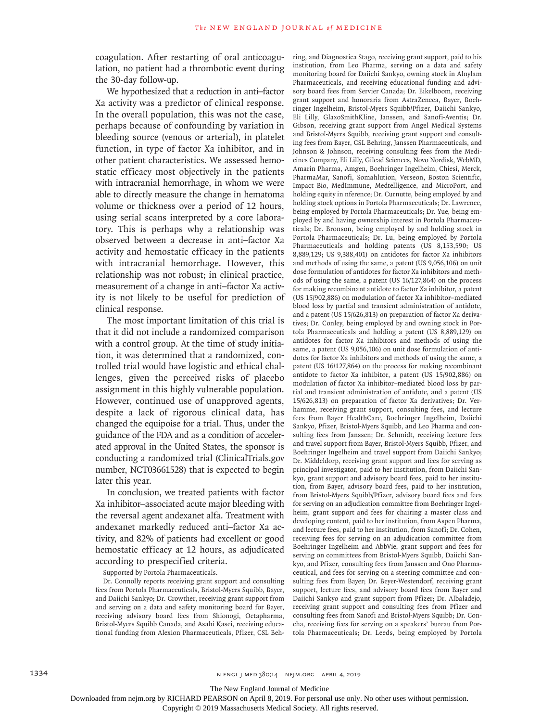coagulation. After restarting of oral anticoagulation, no patient had a thrombotic event during the 30-day follow-up.

We hypothesized that a reduction in anti–factor Xa activity was a predictor of clinical response. In the overall population, this was not the case, perhaps because of confounding by variation in bleeding source (venous or arterial), in platelet function, in type of factor Xa inhibitor, and in other patient characteristics. We assessed hemostatic efficacy most objectively in the patients with intracranial hemorrhage, in whom we were able to directly measure the change in hematoma volume or thickness over a period of 12 hours, using serial scans interpreted by a core laboratory. This is perhaps why a relationship was observed between a decrease in anti–factor Xa activity and hemostatic efficacy in the patients with intracranial hemorrhage. However, this relationship was not robust; in clinical practice, measurement of a change in anti–factor Xa activity is not likely to be useful for prediction of clinical response.

The most important limitation of this trial is that it did not include a randomized comparison with a control group. At the time of study initiation, it was determined that a randomized, controlled trial would have logistic and ethical challenges, given the perceived risks of placebo assignment in this highly vulnerable population. However, continued use of unapproved agents, despite a lack of rigorous clinical data, has changed the equipoise for a trial. Thus, under the guidance of the FDA and as a condition of accelerated approval in the United States, the sponsor is conducting a randomized trial (ClinicalTrials.gov number, NCT03661528) that is expected to begin later this year.

In conclusion, we treated patients with factor Xa inhibitor–associated acute major bleeding with the reversal agent andexanet alfa. Treatment with andexanet markedly reduced anti–factor Xa activity, and 82% of patients had excellent or good hemostatic efficacy at 12 hours, as adjudicated according to prespecified criteria.

Supported by Portola Pharmaceuticals.

Dr. Connolly reports receiving grant support and consulting fees from Portola Pharmaceuticals, Bristol-Myers Squibb, Bayer, and Daiichi Sankyo; Dr. Crowther, receiving grant support from and serving on a data and safety monitoring board for Bayer, receiving advisory board fees from Shionogi, Octapharma, Bristol-Myers Squibb Canada, and Asahi Kasei, receiving educational funding from Alexion Pharmaceuticals, Pfizer, CSL Behring, and Diagnostica Stago, receiving grant support, paid to his institution, from Leo Pharma, serving on a data and safety monitoring board for Daiichi Sankyo, owning stock in Alnylam Pharmaceuticals, and receiving educational funding and advisory board fees from Servier Canada; Dr. Eikelboom, receiving grant support and honoraria from AstraZeneca, Bayer, Boehringer Ingelheim, Bristol-Myers Squibb/Pfizer, Daiichi Sankyo, Eli Lilly, GlaxoSmithKline, Janssen, and Sanofi-Aventis; Dr. Gibson, receiving grant support from Angel Medical Systems and Bristol-Myers Squibb, receiving grant support and consulting fees from Bayer, CSL Behring, Janssen Pharmaceuticals, and Johnson & Johnson, receiving consulting fees from the Medicines Company, Eli Lilly, Gilead Sciences, Novo Nordisk, WebMD, Amarin Pharma, Amgen, Boehringer Ingelheim, Chiesi, Merck, PharmaMar, Sanofi, Somahlution, Verseon, Boston Scientific, Impact Bio, MedImmune, Medtelligence, and MicroPort, and holding equity in nference; Dr. Curnutte, being employed by and holding stock options in Portola Pharmaceuticals; Dr. Lawrence, being employed by Portola Pharmaceuticals; Dr. Yue, being employed by and having ownership interest in Portola Pharmaceuticals; Dr. Bronson, being employed by and holding stock in Portola Pharmaceuticals; Dr. Lu, being employed by Portola Pharmaceuticals and holding patents (US 8,153,590; US 8,889,129; US 9,388,401) on antidotes for factor Xa inhibitors and methods of using the same, a patent (US 9,056,106) on unit dose formulation of antidotes for factor Xa inhibitors and methods of using the same, a patent (US 16/127,864) on the process for making recombinant antidote to factor Xa inhibitor, a patent (US 15/902,886) on modulation of factor Xa inhibitor–mediated blood loss by partial and transient administration of antidote, and a patent (US 15/626,813) on preparation of factor Xa derivatives; Dr. Conley, being employed by and owning stock in Portola Pharmaceuticals and holding a patent (US 8,889,129) on antidotes for factor Xa inhibitors and methods of using the same, a patent (US 9,056,106) on unit dose formulation of antidotes for factor Xa inhibitors and methods of using the same, a patent (US 16/127,864) on the process for making recombinant antidote to factor Xa inhibitor, a patent (US 15/902,886) on modulation of factor Xa inhibitor–mediated blood loss by partial and transient administration of antidote, and a patent (US 15/626,813) on preparation of factor Xa derivatives; Dr. Verhamme, receiving grant support, consulting fees, and lecture fees from Bayer HealthCare, Boehringer Ingelheim, Daiichi Sankyo, Pfizer, Bristol-Myers Squibb, and Leo Pharma and consulting fees from Janssen; Dr. Schmidt, receiving lecture fees and travel support from Bayer, Bristol-Myers Squibb, Pfizer, and Boehringer Ingelheim and travel support from Daiichi Sankyo; Dr. Middeldorp, receiving grant support and fees for serving as principal investigator, paid to her institution, from Daiichi Sankyo, grant support and advisory board fees, paid to her institution, from Bayer, advisory board fees, paid to her institution, from Bristol-Myers Squibb/Pfizer, advisory board fees and fees for serving on an adjudication committee from Boehringer Ingelheim, grant support and fees for chairing a master class and developing content, paid to her institution, from Aspen Pharma, and lecture fees, paid to her institution, from Sanofi; Dr. Cohen, receiving fees for serving on an adjudication committee from Boehringer Ingelheim and AbbVie, grant support and fees for serving on committees from Bristol-Myers Squibb, Daiichi Sankyo, and Pfizer, consulting fees from Janssen and Ono Pharmaceutical, and fees for serving on a steering committee and consulting fees from Bayer; Dr. Beyer-Westendorf, receiving grant support, lecture fees, and advisory board fees from Bayer and Daiichi Sankyo and grant support from Pfizer; Dr. Albaladejo, receiving grant support and consulting fees from Pfizer and consulting fees from Sanofi and Bristol-Myers Squibb; Dr. Concha, receiving fees for serving on a speakers' bureau from Portola Pharmaceuticals; Dr. Leeds, being employed by Portola

The New England Journal of Medicine

Downloaded from nejm.org by RICHARD PEARSON on April 8, 2019. For personal use only. No other uses without permission.